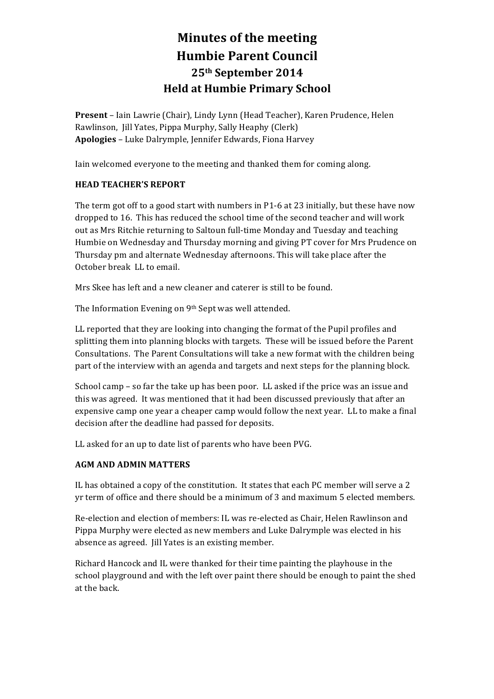# **Minutes of the meeting Humbie Parent Council 25th September 2014 Held at Humbie Primary School**

**Present** – Iain Lawrie (Chair), Lindy Lynn (Head Teacher), Karen Prudence, Helen Rawlinson, Jill Yates, Pippa Murphy, Sally Heaphy (Clerk) Apologies - Luke Dalrymple, Jennifer Edwards, Fiona Harvey

Iain welcomed everyone to the meeting and thanked them for coming along.

## **HEAD TEACHER'S REPORT**

The term got off to a good start with numbers in P1-6 at 23 initially, but these have now dropped to 16. This has reduced the school time of the second teacher and will work out as Mrs Ritchie returning to Saltoun full-time Monday and Tuesday and teaching Humbie on Wednesday and Thursday morning and giving PT cover for Mrs Prudence on Thursday pm and alternate Wednesday afternoons. This will take place after the October break LL to email.

Mrs Skee has left and a new cleaner and caterer is still to be found.

The Information Evening on 9th Sept was well attended.

LL reported that they are looking into changing the format of the Pupil profiles and splitting them into planning blocks with targets. These will be issued before the Parent Consultations. The Parent Consultations will take a new format with the children being part of the interview with an agenda and targets and next steps for the planning block.

School camp  $-$  so far the take up has been poor. LL asked if the price was an issue and this was agreed. It was mentioned that it had been discussed previously that after an expensive camp one year a cheaper camp would follow the next year. LL to make a final decision after the deadline had passed for deposits.

LL asked for an up to date list of parents who have been PVG.

## **AGM AND ADMIN MATTERS**

IL has obtained a copy of the constitution. It states that each PC member will serve a 2 yr term of office and there should be a minimum of 3 and maximum 5 elected members.

Re-election and election of members: IL was re-elected as Chair, Helen Rawlinson and Pippa Murphy were elected as new members and Luke Dalrymple was elected in his absence as agreed. Jill Yates is an existing member.

Richard Hancock and IL were thanked for their time painting the playhouse in the school playground and with the left over paint there should be enough to paint the shed at the back.